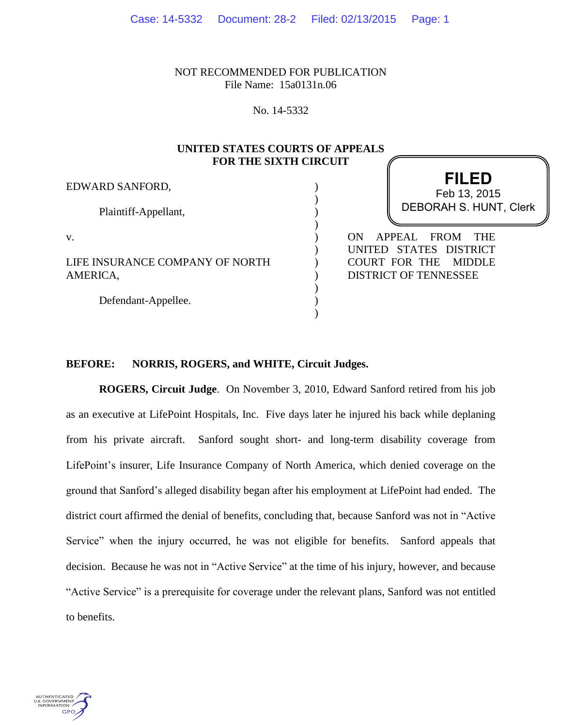NOT RECOMMENDED FOR PUBLICATION File Name: 15a0131n.06

No. 14-5332

# **UNITED STATES COURTS OF APPEALS FOR THE SIXTH CIRCUIT**

) ) ) ) ) ) ) ) ) ) )

EDWARD SANFORD,

Plaintiff-Appellant,

v.

LIFE INSURANCE COMPANY OF NORTH AMERICA,

Defendant-Appellee.

# **FILED** DEBORAH S. HUNT, Clerk Feb 13, 2015

ON APPEAL FROM THE UNITED STATES DISTRICT COURT FOR THE MIDDLE DISTRICT OF TENNESSEE

# **BEFORE: NORRIS, ROGERS, and WHITE, Circuit Judges.**

**ROGERS, Circuit Judge**. On November 3, 2010, Edward Sanford retired from his job as an executive at LifePoint Hospitals, Inc. Five days later he injured his back while deplaning from his private aircraft. Sanford sought short- and long-term disability coverage from LifePoint's insurer, Life Insurance Company of North America, which denied coverage on the ground that Sanford's alleged disability began after his employment at LifePoint had ended. The district court affirmed the denial of benefits, concluding that, because Sanford was not in "Active Service" when the injury occurred, he was not eligible for benefits. Sanford appeals that decision. Because he was not in "Active Service" at the time of his injury, however, and because "Active Service" is a prerequisite for coverage under the relevant plans, Sanford was not entitled to benefits.

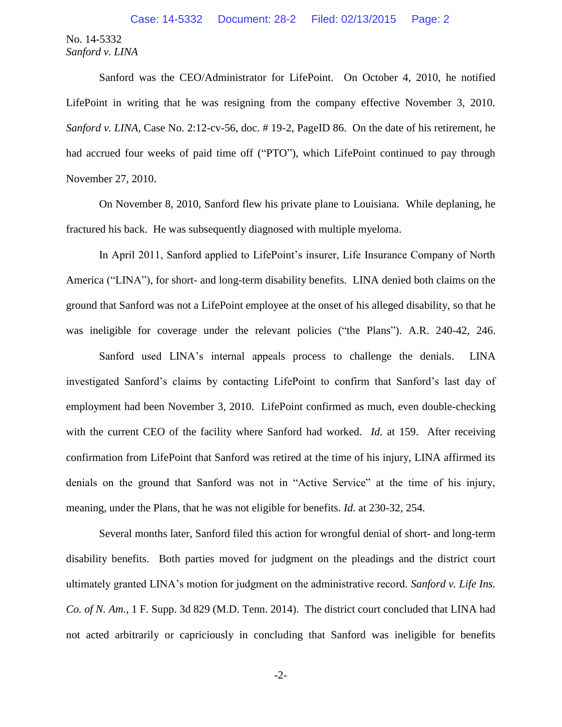Sanford was the CEO/Administrator for LifePoint. On October 4, 2010, he notified LifePoint in writing that he was resigning from the company effective November 3, 2010. *Sanford v. LINA*, Case No. 2:12-cv-56, doc. #19-2, PageID 86. On the date of his retirement, he had accrued four weeks of paid time off ("PTO"), which LifePoint continued to pay through November 27, 2010.

On November 8, 2010, Sanford flew his private plane to Louisiana. While deplaning, he fractured his back. He was subsequently diagnosed with multiple myeloma.

In April 2011, Sanford applied to LifePoint's insurer, Life Insurance Company of North America ("LINA"), for short- and long-term disability benefits. LINA denied both claims on the ground that Sanford was not a LifePoint employee at the onset of his alleged disability, so that he was ineligible for coverage under the relevant policies ("the Plans"). A.R. 240-42, 246.

Sanford used LINA's internal appeals process to challenge the denials. LINA investigated Sanford's claims by contacting LifePoint to confirm that Sanford's last day of employment had been November 3, 2010. LifePoint confirmed as much, even double-checking with the current CEO of the facility where Sanford had worked. *Id.* at 159. After receiving confirmation from LifePoint that Sanford was retired at the time of his injury, LINA affirmed its denials on the ground that Sanford was not in "Active Service" at the time of his injury, meaning, under the Plans, that he was not eligible for benefits. *Id.* at 230-32, 254.

Several months later, Sanford filed this action for wrongful denial of short- and long-term disability benefits. Both parties moved for judgment on the pleadings and the district court ultimately granted LINA's motion for judgment on the administrative record. *Sanford v. Life Ins. Co. of N. Am.*, 1 F. Supp. 3d 829 (M.D. Tenn. 2014). The district court concluded that LINA had not acted arbitrarily or capriciously in concluding that Sanford was ineligible for benefits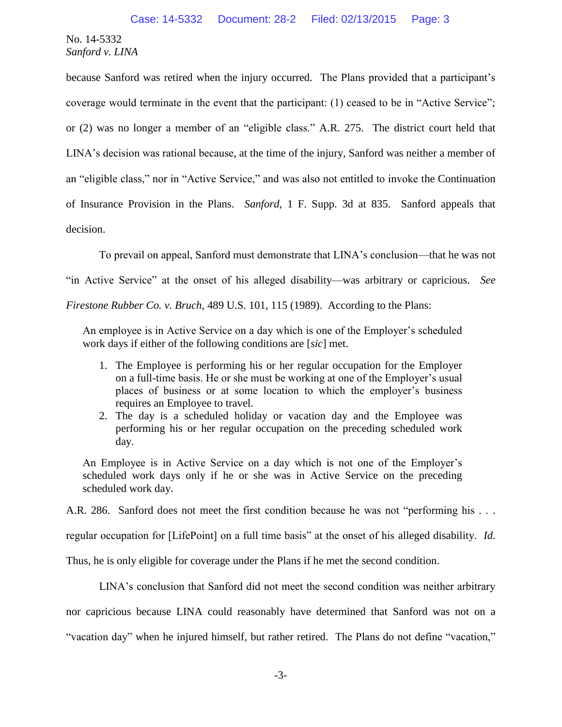because Sanford was retired when the injury occurred. The Plans provided that a participant's coverage would terminate in the event that the participant: (1) ceased to be in "Active Service"; or (2) was no longer a member of an "eligible class." A.R. 275. The district court held that LINA's decision was rational because, at the time of the injury, Sanford was neither a member of an "eligible class," nor in "Active Service," and was also not entitled to invoke the Continuation of Insurance Provision in the Plans. *Sanford*, 1 F. Supp. 3d at 835. Sanford appeals that decision.

To prevail on appeal, Sanford must demonstrate that LINA's conclusion—that he was not

"in Active Service" at the onset of his alleged disability—was arbitrary or capricious. *See* 

*Firestone Rubber Co. v. Bruch*, 489 U.S. 101, 115 (1989). According to the Plans:

An employee is in Active Service on a day which is one of the Employer's scheduled work days if either of the following conditions are [*sic*] met.

- 1. The Employee is performing his or her regular occupation for the Employer on a full-time basis. He or she must be working at one of the Employer's usual places of business or at some location to which the employer's business requires an Employee to travel.
- 2. The day is a scheduled holiday or vacation day and the Employee was performing his or her regular occupation on the preceding scheduled work day.

An Employee is in Active Service on a day which is not one of the Employer's scheduled work days only if he or she was in Active Service on the preceding scheduled work day.

A.R. 286. Sanford does not meet the first condition because he was not "performing his . . .

regular occupation for [LifePoint] on a full time basis" at the onset of his alleged disability. *Id.*

Thus, he is only eligible for coverage under the Plans if he met the second condition.

LINA's conclusion that Sanford did not meet the second condition was neither arbitrary

nor capricious because LINA could reasonably have determined that Sanford was not on a

"vacation day" when he injured himself, but rather retired. The Plans do not define "vacation,"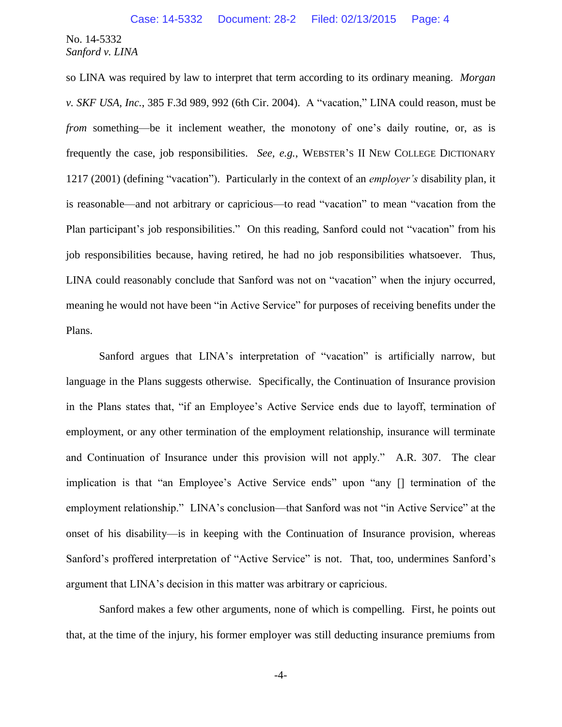so LINA was required by law to interpret that term according to its ordinary meaning. *Morgan v. SKF USA, Inc.*, 385 F.3d 989, 992 (6th Cir. 2004). A "vacation," LINA could reason, must be *from* something—be it inclement weather, the monotony of one's daily routine, or, as is frequently the case, job responsibilities. *See, e.g.*, WEBSTER'S II NEW COLLEGE DICTIONARY 1217 (2001) (defining "vacation"). Particularly in the context of an *employer's* disability plan, it is reasonable—and not arbitrary or capricious—to read "vacation" to mean "vacation from the Plan participant's job responsibilities." On this reading, Sanford could not "vacation" from his job responsibilities because, having retired, he had no job responsibilities whatsoever. Thus, LINA could reasonably conclude that Sanford was not on "vacation" when the injury occurred, meaning he would not have been "in Active Service" for purposes of receiving benefits under the Plans.

Sanford argues that LINA's interpretation of "vacation" is artificially narrow, but language in the Plans suggests otherwise. Specifically, the Continuation of Insurance provision in the Plans states that, "if an Employee's Active Service ends due to layoff, termination of employment, or any other termination of the employment relationship, insurance will terminate and Continuation of Insurance under this provision will not apply." A.R. 307. The clear implication is that "an Employee's Active Service ends" upon "any [] termination of the employment relationship." LINA's conclusion—that Sanford was not "in Active Service" at the onset of his disability—is in keeping with the Continuation of Insurance provision, whereas Sanford's proffered interpretation of "Active Service" is not. That, too, undermines Sanford's argument that LINA's decision in this matter was arbitrary or capricious.

Sanford makes a few other arguments, none of which is compelling. First, he points out that, at the time of the injury, his former employer was still deducting insurance premiums from